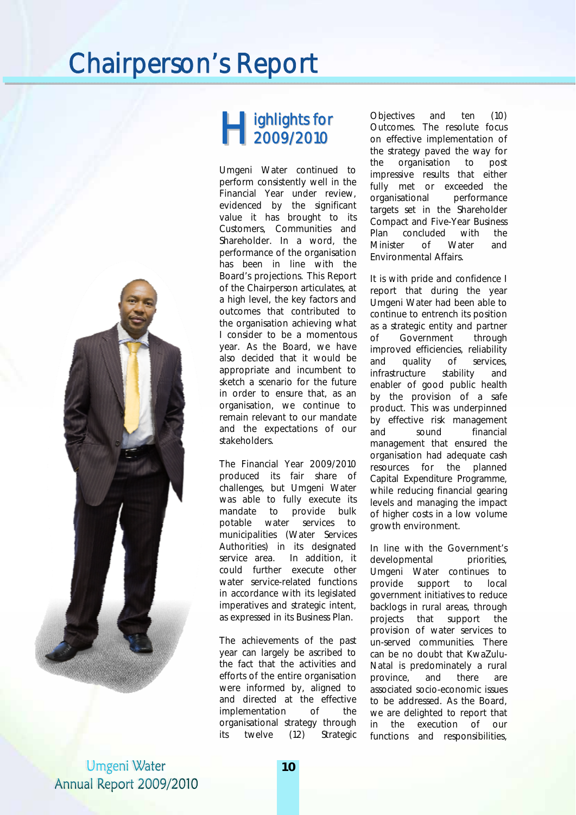## Chairperson's Report



Umgeni Water Annual Report 2009/2010

### ighlights for **H** ighlights fo<br>2009/2010

Umgeni Water continued to perform consistently well in the Financial Year under review, evidenced by the significant value it has brought to its Customers, Communities and Shareholder. In a word, the performance of the organisation has been in line with the Board's projections. This Report of the Chairperson articulates, at a high level, the key factors and outcomes that contributed to the organisation achieving what I consider to be a momentous year. As the Board, we have also decided that it would be appropriate and incumbent to sketch a scenario for the future in order to ensure that, as an organisation, we continue to remain relevant to our mandate and the expectations of our stakeholders.

The Financial Year 2009/2010 produced its fair share of challenges, but Umgeni Water was able to fully execute its mandate to provide bulk potable water services to municipalities (Water Services Authorities) in its designated service area. In addition, it could further execute other water service-related functions in accordance with its legislated imperatives and strategic intent, as expressed in its Business Plan.

The achievements of the past year can largely be ascribed to the fact that the activities and efforts of the entire organisation were informed by, aligned to and directed at the effective implementation of the organisational strategy through its twelve (12) Strategic

Objectives and ten (10) Outcomes. The resolute focus on effective implementation of the strategy paved the way for the organisation to post impressive results that either fully met or exceeded the organisational performance targets set in the Shareholder Compact and Five-Year Business Plan concluded with the Minister of Water and Environmental Affairs.

It is with pride and confidence I report that during the year Umgeni Water had been able to continue to entrench its position as a strategic entity and partner of Government through improved efficiencies, reliability and quality of services, infrastructure stability and enabler of good public health by the provision of a safe product. This was underpinned by effective risk management and sound financial management that ensured the organisation had adequate cash resources for the planned Capital Expenditure Programme, while reducing financial gearing levels and managing the impact of higher costs in a low volume growth environment.

In line with the Government's developmental priorities, Umgeni Water continues to provide support to local government initiatives to reduce backlogs in rural areas, through projects that support the provision of water services to un-served communities. There can be no doubt that KwaZulu-Natal is predominately a rural province, and there are associated socio-economic issues to be addressed. As the Board, we are delighted to report that in the execution of our functions and responsibilities,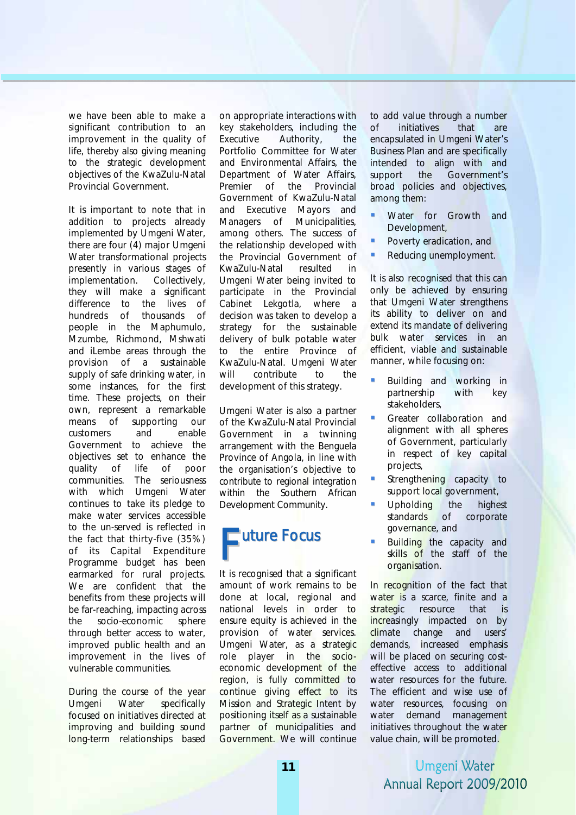we have been able to make a significant contribution to an improvement in the quality of life, thereby also giving meaning to the strategic development objectives of the KwaZulu-Natal Provincial Government.

It is important to note that in addition to projects already implemented by Umgeni Water, there are four (4) major Umgeni Water transformational projects presently in various stages of implementation. Collectively, they will make a significant difference to the lives of hundreds of thousands of people in the Maphumulo, Mzumbe, Richmond, Mshwati and iLembe areas through the provision of a sustainable supply of safe drinking water, in some instances, for the first time. These projects, on their own, represent a remarkable means of supporting our customers and enable Government to achieve the objectives set to enhance the quality of life of poor communities. The seriousness with which Umgeni Water continues to take its pledge to make water services accessible to the un-served is reflected in the fact that thirty-five (35%) of its Capital Expenditure Programme budget has been earmarked for rural projects. We are confident that the benefits from these projects will be far-reaching, impacting across the socio-economic sphere through better access to water, improved public health and an improvement in the lives of vulnerable communities.

During the course of the year Umgeni Water specifically focused on initiatives directed at improving and building sound long-term relationships based

on appropriate interactions with key stakeholders, including the Executive Authority, the Portfolio Committee for Water and Environmental Affairs, the Department of Water Affairs, Premier of the Provincial Government of KwaZulu-Natal and Executive Mayors and Managers of Municipalities, among others. The success of the relationship developed with the Provincial Government of KwaZulu-Natal resulted in Umgeni Water being invited to participate in the Provincial Cabinet Lekgotla, where a decision was taken to develop a strategy for the sustainable delivery of bulk potable water to the entire Province of KwaZulu-Natal. Umgeni Water will contribute to the development of this strategy.

Umgeni Water is also a partner of the KwaZulu-Natal Provincial Government in a twinning arrangement with the Benguela Province of Angola, in line with the organisation's objective to contribute to regional integration within the Southern African Development Community.

# uture Focus F

It is recognised that a significant amount of work remains to be done at local, regional and national levels in order to ensure equity is achieved in the provision of water services. Umgeni Water, as a strategic role player in the socioeconomic development of the region, is fully committed to continue giving effect to its Mission and Strategic Intent by positioning itself as a sustainable partner of municipalities and Government. We will continue

to add value through a number of initiatives that are encapsulated in Umgeni Water's Business Plan and are specifically intended to align with and support the Government's broad policies and objectives, among them:

- Water for Growth and Development,
- **Poverty eradication, and**
- Reducing unemployment.

It is also recognised that this can only be achieved by ensuring that Umgeni Water strengthens its ability to deliver on and extend its mandate of delivering bulk water services in an efficient, viable and sustainable manner, while focusing on:

- Building and working in partnership with key stakeholders,
- Greater collaboration and alignment with all spheres of Government, particularly in respect of key capital projects,
- Strengthening capacity to support local government,
- Upholding the highest standards of corporate governance, and
- Building the capacity and skills of the staff of the organisation.

In recognition of the fact that water is a scarce, finite and a strategic resource that is increasingly impacted on by climate change and users' demands, increased emphasis will be placed on securing costeffective access to additional water resources for the future. The efficient and wise use of water resources, focusing on water demand management initiatives throughout the water value chain, will be promoted.

Umgeni Water Annual Report 2009/2010